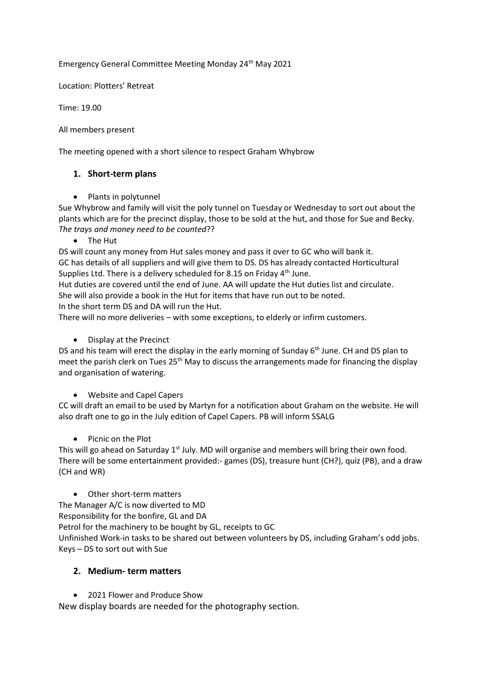Emergency General Committee Meeting Monday 24th May 2021

Location: Plotters' Retreat

Time: 19.00

All members present

The meeting opened with a short silence to respect Graham Whybrow

## **1. Short-term plans**

• Plants in polytunnel

Sue Whybrow and family will visit the poly tunnel on Tuesday or Wednesday to sort out about the plants which are for the precinct display, those to be sold at the hut, and those for Sue and Becky. *The trays and money need to be counted*??

• The Hut

DS will count any money from Hut sales money and pass it over to GC who will bank it. GC has details of all suppliers and will give them to DS. DS has already contacted Horticultural Supplies Ltd. There is a delivery scheduled for 8.15 on Friday 4<sup>th</sup> June.

Hut duties are covered until the end of June. AA will update the Hut duties list and circulate. She will also provide a book in the Hut for items that have run out to be noted. In the short term DS and DA will run the Hut.

There will no more deliveries – with some exceptions, to elderly or infirm customers.

• Display at the Precinct

DS and his team will erect the display in the early morning of Sunday 6<sup>th</sup> June. CH and DS plan to meet the parish clerk on Tues 25<sup>th</sup> May to discuss the arrangements made for financing the display and organisation of watering.

• Website and Capel Capers

CC will draft an email to be used by Martyn for a notification about Graham on the website. He will also draft one to go in the July edition of Capel Capers. PB will inform SSALG

• Picnic on the Plot

This will go ahead on Saturday  $1<sup>st</sup>$  July. MD will organise and members will bring their own food. There will be some entertainment provided:- games (DS), treasure hunt (CH?), quiz (PB), and a draw (CH and WR)

• Other short-term matters

The Manager A/C is now diverted to MD

Responsibility for the bonfire, GL and DA

Petrol for the machinery to be bought by GL, receipts to GC

Unfinished Work-in tasks to be shared out between volunteers by DS, including Graham's odd jobs. Keys – DS to sort out with Sue

## **2. Medium- term matters**

• 2021 Flower and Produce Show

New display boards are needed for the photography section.